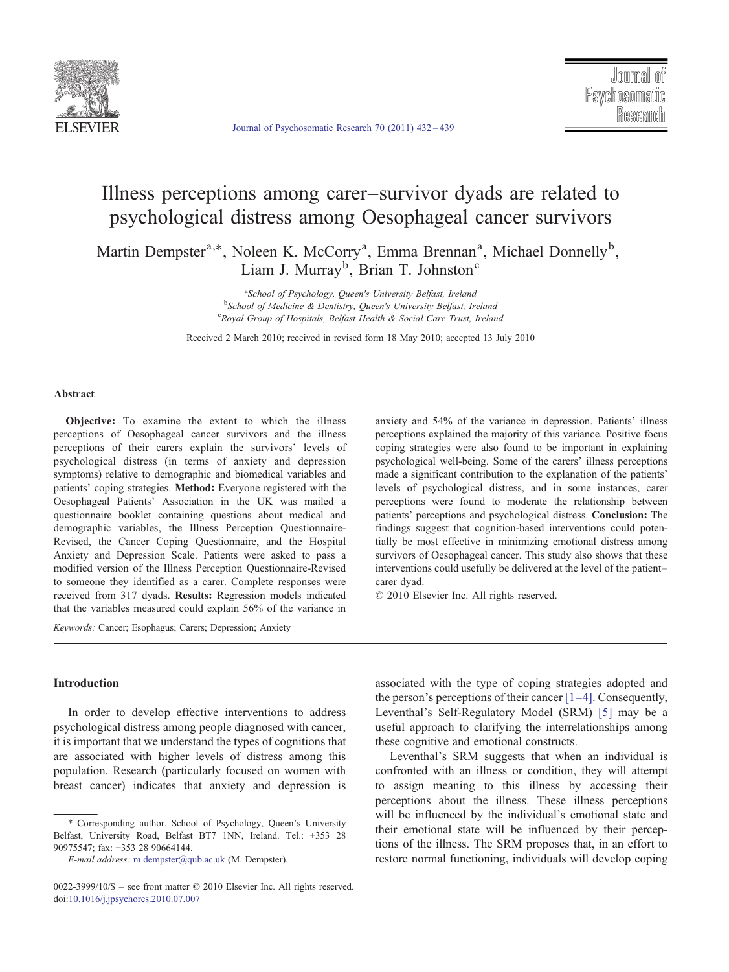

[Journal of Psychosomatic Research 70 \(2011\) 432](http://dx.doi.org/10.1016/j.jpsychores.2010.07.007)–439

## Illness perceptions among carer–survivor dyads are related to psychological distress among Oesophageal cancer survivors

Martin Dempster<sup>a,\*</sup>, Noleen K. McCorry<sup>a</sup>, Emma Brennan<sup>a</sup>, Michael Donnelly<sup>b</sup>, Liam J. Murray<sup>b</sup>, Brian T. Johnston<sup>c</sup>

> <sup>a</sup> School of Psychology, Queen's University Belfast, Ireland<br><sup>b</sup> School of Medicine & Dentistry, Queen's University Belfast, In <sup>b</sup>School of Medicine & Dentistry, Queen's University Belfast, Ireland <sup>c</sup>Royal Group of Hospitals, Belfast Health & Social Care Trust, Ireland

Received 2 March 2010; received in revised form 18 May 2010; accepted 13 July 2010

#### **Abstract**

Objective: To examine the extent to which the illness perceptions of Oesophageal cancer survivors and the illness perceptions of their carers explain the survivors' levels of psychological distress (in terms of anxiety and depression symptoms) relative to demographic and biomedical variables and patients' coping strategies. Method: Everyone registered with the Oesophageal Patients' Association in the UK was mailed a questionnaire booklet containing questions about medical and demographic variables, the Illness Perception Questionnaire-Revised, the Cancer Coping Questionnaire, and the Hospital Anxiety and Depression Scale. Patients were asked to pass a modified version of the Illness Perception Questionnaire-Revised to someone they identified as a carer. Complete responses were received from 317 dyads. Results: Regression models indicated that the variables measured could explain 56% of the variance in

Keywords: Cancer; Esophagus; Carers; Depression; Anxiety

anxiety and 54% of the variance in depression. Patients' illness perceptions explained the majority of this variance. Positive focus coping strategies were also found to be important in explaining psychological well-being. Some of the carers' illness perceptions made a significant contribution to the explanation of the patients' levels of psychological distress, and in some instances, carer perceptions were found to moderate the relationship between patients' perceptions and psychological distress. Conclusion: The findings suggest that cognition-based interventions could potentially be most effective in minimizing emotional distress among survivors of Oesophageal cancer. This study also shows that these interventions could usefully be delivered at the level of the patient– carer dyad.

© 2010 Elsevier Inc. All rights reserved.

#### Introduction

In order to develop effective interventions to address psychological distress among people diagnosed with cancer, it is important that we understand the types of cognitions that are associated with higher levels of distress among this population. Research (particularly focused on women with breast cancer) indicates that anxiety and depression is associated with the type of coping strategies adopted and the person's perceptions of their cancer  $[1-4]$  $[1-4]$ . Consequently, Leventhal's Self-Regulatory Model (SRM) [\[5\]](#page--1-0) may be a useful approach to clarifying the interrelationships among these cognitive and emotional constructs.

Leventhal's SRM suggests that when an individual is confronted with an illness or condition, they will attempt to assign meaning to this illness by accessing their perceptions about the illness. These illness perceptions will be influenced by the individual's emotional state and their emotional state will be influenced by their perceptions of the illness. The SRM proposes that, in an effort to restore normal functioning, individuals will develop coping

<sup>⁎</sup> Corresponding author. School of Psychology, Queen's University Belfast, University Road, Belfast BT7 1NN, Ireland. Tel.: +353 28 90975547; fax: +353 28 90664144.

E-mail address: [m.dempster@qub.ac.uk](mailto:m.dempster@qub.ac.uk) (M. Dempster).

<sup>0022-3999/10/\$</sup> – see front matter © 2010 Elsevier Inc. All rights reserved. doi:[10.1016/j.jpsychores.2010.07.007](http://dx.doi.org/10.1016/j.jpsychores.2010.07.007)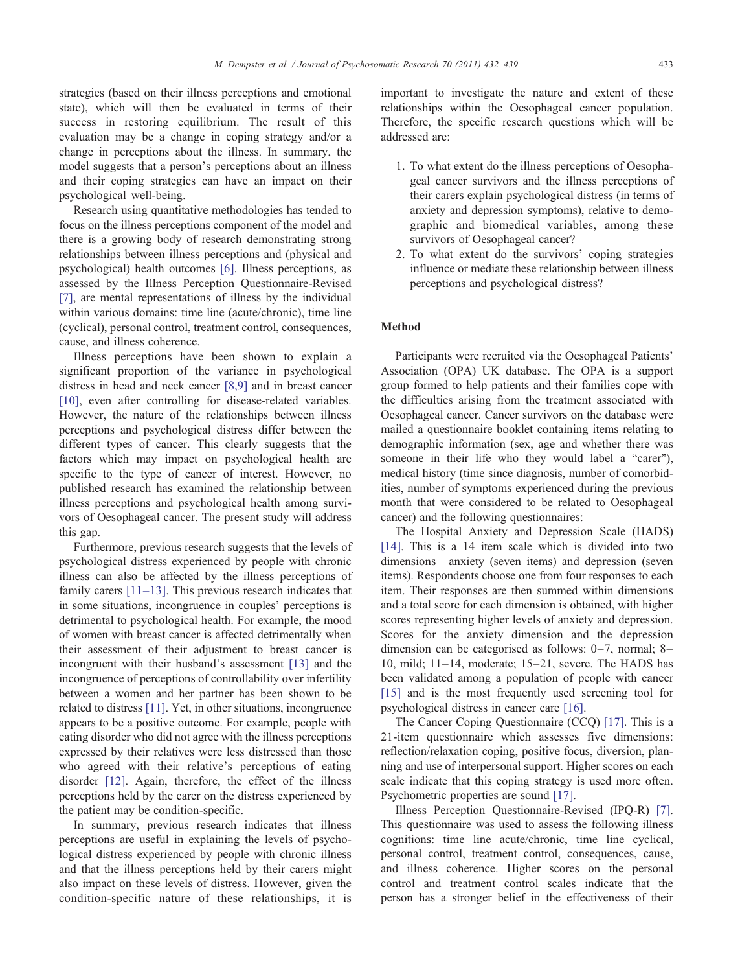strategies (based on their illness perceptions and emotional state), which will then be evaluated in terms of their success in restoring equilibrium. The result of this evaluation may be a change in coping strategy and/or a change in perceptions about the illness. In summary, the model suggests that a person's perceptions about an illness and their coping strategies can have an impact on their psychological well-being.

Research using quantitative methodologies has tended to focus on the illness perceptions component of the model and there is a growing body of research demonstrating strong relationships between illness perceptions and (physical and psychological) health outcomes [\[6\]](#page--1-0). Illness perceptions, as assessed by the Illness Perception Questionnaire-Revised [\[7\],](#page--1-0) are mental representations of illness by the individual within various domains: time line (acute/chronic), time line (cyclical), personal control, treatment control, consequences, cause, and illness coherence.

Illness perceptions have been shown to explain a significant proportion of the variance in psychological distress in head and neck cancer [\[8,9\]](#page--1-0) and in breast cancer [\[10\],](#page--1-0) even after controlling for disease-related variables. However, the nature of the relationships between illness perceptions and psychological distress differ between the different types of cancer. This clearly suggests that the factors which may impact on psychological health are specific to the type of cancer of interest. However, no published research has examined the relationship between illness perceptions and psychological health among survivors of Oesophageal cancer. The present study will address this gap.

Furthermore, previous research suggests that the levels of psychological distress experienced by people with chronic illness can also be affected by the illness perceptions of family carers  $[11–13]$ . This previous research indicates that in some situations, incongruence in couples' perceptions is detrimental to psychological health. For example, the mood of women with breast cancer is affected detrimentally when their assessment of their adjustment to breast cancer is incongruent with their husband's assessment [\[13\]](#page--1-0) and the incongruence of perceptions of controllability over infertility between a women and her partner has been shown to be related to distress [\[11\]](#page--1-0). Yet, in other situations, incongruence appears to be a positive outcome. For example, people with eating disorder who did not agree with the illness perceptions expressed by their relatives were less distressed than those who agreed with their relative's perceptions of eating disorder [\[12\]](#page--1-0). Again, therefore, the effect of the illness perceptions held by the carer on the distress experienced by the patient may be condition-specific.

In summary, previous research indicates that illness perceptions are useful in explaining the levels of psychological distress experienced by people with chronic illness and that the illness perceptions held by their carers might also impact on these levels of distress. However, given the condition-specific nature of these relationships, it is important to investigate the nature and extent of these relationships within the Oesophageal cancer population. Therefore, the specific research questions which will be addressed are:

- 1. To what extent do the illness perceptions of Oesophageal cancer survivors and the illness perceptions of their carers explain psychological distress (in terms of anxiety and depression symptoms), relative to demographic and biomedical variables, among these survivors of Oesophageal cancer?
- 2. To what extent do the survivors' coping strategies influence or mediate these relationship between illness perceptions and psychological distress?

### Method

Participants were recruited via the Oesophageal Patients' Association (OPA) UK database. The OPA is a support group formed to help patients and their families cope with the difficulties arising from the treatment associated with Oesophageal cancer. Cancer survivors on the database were mailed a questionnaire booklet containing items relating to demographic information (sex, age and whether there was someone in their life who they would label a "carer"), medical history (time since diagnosis, number of comorbidities, number of symptoms experienced during the previous month that were considered to be related to Oesophageal cancer) and the following questionnaires:

The Hospital Anxiety and Depression Scale (HADS) [\[14\].](#page--1-0) This is a 14 item scale which is divided into two dimensions—anxiety (seven items) and depression (seven items). Respondents choose one from four responses to each item. Their responses are then summed within dimensions and a total score for each dimension is obtained, with higher scores representing higher levels of anxiety and depression. Scores for the anxiety dimension and the depression dimension can be categorised as follows: 0–7, normal; 8– 10, mild; 11–14, moderate; 15–21, severe. The HADS has been validated among a population of people with cancer [\[15\]](#page--1-0) and is the most frequently used screening tool for psychological distress in cancer care [\[16\].](#page--1-0)

The Cancer Coping Questionnaire (CCQ) [\[17\]](#page--1-0). This is a 21-item questionnaire which assesses five dimensions: reflection/relaxation coping, positive focus, diversion, planning and use of interpersonal support. Higher scores on each scale indicate that this coping strategy is used more often. Psychometric properties are sound [\[17\].](#page--1-0)

Illness Perception Questionnaire-Revised (IPQ-R) [\[7\].](#page--1-0) This questionnaire was used to assess the following illness cognitions: time line acute/chronic, time line cyclical, personal control, treatment control, consequences, cause, and illness coherence. Higher scores on the personal control and treatment control scales indicate that the person has a stronger belief in the effectiveness of their